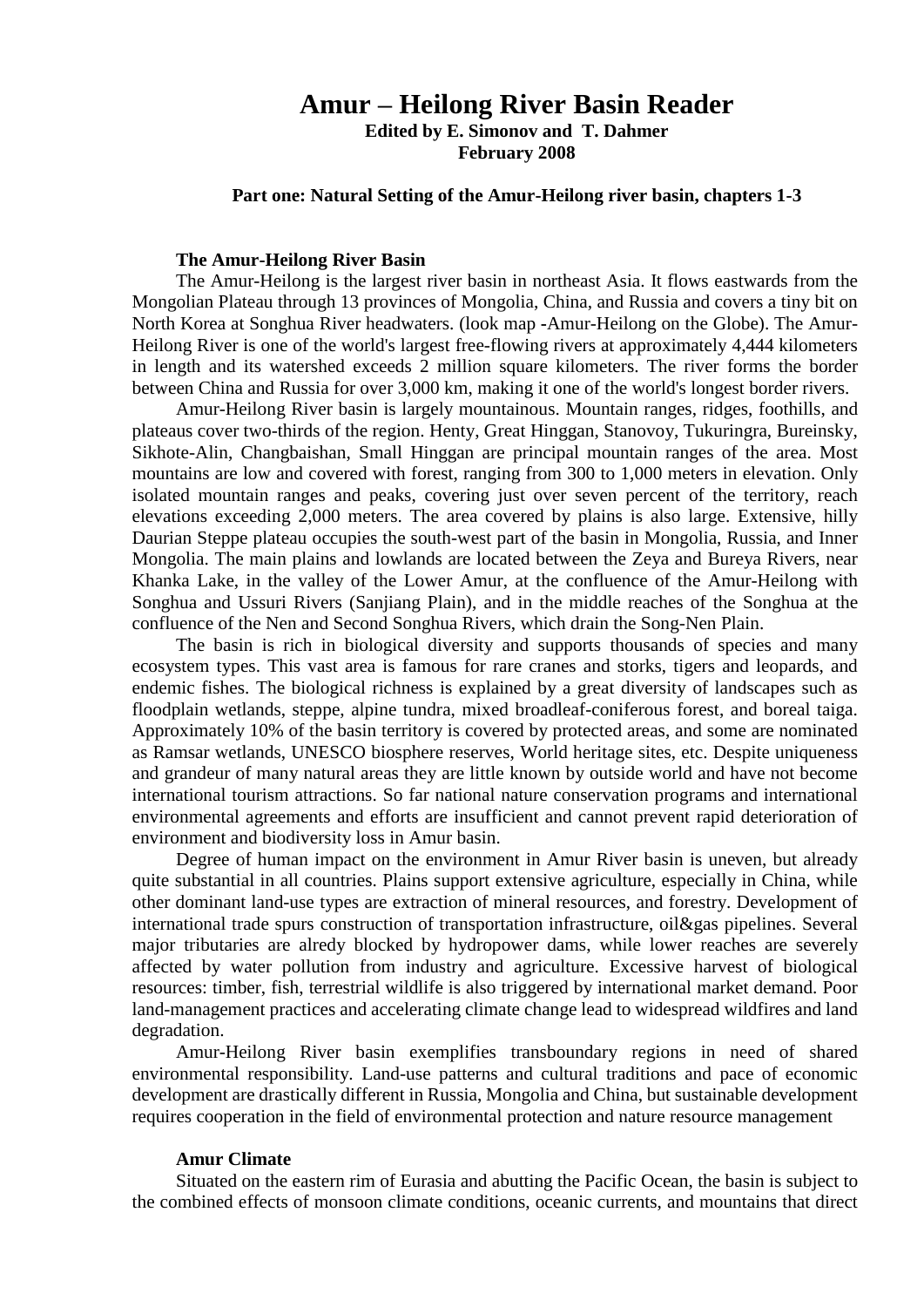# **Amur – Heilong River Basin Reader**

**Edited by E. Simonov and T. Dahmer February 2008**

### **Part one: Natural Setting of the Amur-Heilong river basin, chapters 1-3**

### **The Amur-Heilong River Basin**

The Amur-Heilong is the largest river basin in northeast Asia. It flows eastwards from the Mongolian Plateau through 13 provinces of Mongolia, China, and Russia and covers a tiny bit on North Korea at Songhua River headwaters. (look map **-**Amur-Heilong on the Globe). The Amur-Heilong River is one of the world's largest free-flowing rivers at approximately 4,444 kilometers in length and its watershed exceeds 2 million square kilometers. The river forms the border between China and Russia for over 3,000 km, making it one of the world's longest border rivers.

Amur-Heilong River basin is largely mountainous. Mountain ranges, ridges, foothills, and plateaus cover two-thirds of the region. Henty, Great Hinggan, Stanovoy, Tukuringra, Bureinsky, Sikhote-Alin, Changbaishan, Small Hinggan are principal mountain ranges of the area. Most mountains are low and covered with forest, ranging from 300 to 1,000 meters in elevation. Only isolated mountain ranges and peaks, covering just over seven percent of the territory, reach elevations exceeding 2,000 meters. The area covered by plains is also large. Extensive, hilly Daurian Steppe plateau occupies the south-west part of the basin in Mongolia, Russia, and Inner Mongolia. The main plains and lowlands are located between the Zeya and Bureya Rivers, near Khanka Lake, in the valley of the Lower Amur, at the confluence of the Amur-Heilong with Songhua and Ussuri Rivers (Sanjiang Plain), and in the middle reaches of the Songhua at the confluence of the Nen and Second Songhua Rivers, which drain the Song-Nen Plain.

The basin is rich in biological diversity and supports thousands of species and many ecosystem types. This vast area is famous for rare cranes and storks, tigers and leopards, and endemic fishes. The biological richness is explained by a great diversity of landscapes such as floodplain wetlands, steppe, alpine tundra, mixed broadleaf-coniferous forest, and boreal taiga. Approximately 10% of the basin territory is covered by protected areas, and some are nominated as Ramsar wetlands, UNESCO biosphere reserves, World heritage sites, etc. Despite uniqueness and grandeur of many natural areas they are little known by outside world and have not become international tourism attractions. So far national nature conservation programs and international environmental agreements and efforts are insufficient and cannot prevent rapid deterioration of environment and biodiversity loss in Amur basin.

Degree of human impact on the environment in Amur River basin is uneven, but already quite substantial in all countries. Plains support extensive agriculture, especially in China, while other dominant land-use types are extraction of mineral resources, and forestry. Development of international trade spurs construction of transportation infrastructure, oil&gas pipelines. Several major tributaries are alredy blocked by hydropower dams, while lower reaches are severely affected by water pollutio[n](http://amur-heilong.net/http/01_climate_waters/0130waterpollution.html) from industry and agriculture. Excessive harvest of biological resources: timber, fish, terrestrial wildlife is also triggered by international market demand. Poor land-management practices and accelerating climate change lead to widespread wildfires and land degradation.

Amur-Heilong River basin exemplifies transboundary regions in need of shared environmental responsibility. Land-use patterns and cultural traditions and pace of economic development are drastically different in Russia, Mongolia and China, but sustainable development requires cooperation in the field of environmental protection and nature resource management

### **Amur Climate**

Situated on the eastern rim of Eurasia and abutting the Pacific Ocean, the basin is subject to the combined effects of monsoon climate conditions, oceanic currents, and mountains that direct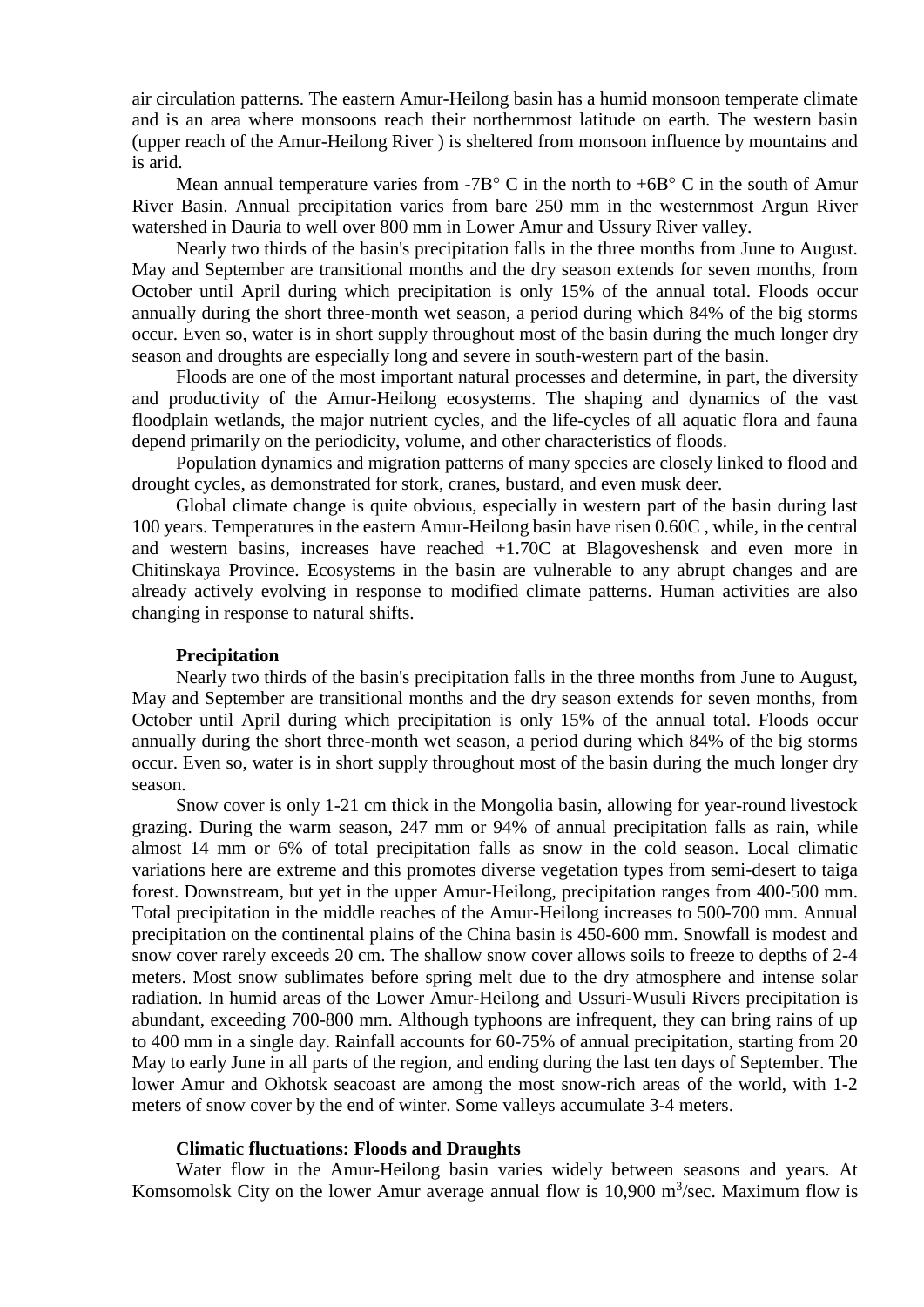air circulation patterns. The eastern Amur-Heilong basin has a humid monsoon temperate climate and is an area where monsoons reach their northernmost latitude on earth. The western basin (upper reach of the Amur-Heilong River ) is sheltered from monsoon influence by mountains and is arid.

Mean annual temperature varies from -7B $\degree$  C in the north to +6B $\degree$  C in the south of Amur River Basin. Annual precipitation varies from bare 250 mm in the westernmost Argun River watershed in Dauria to well over 800 mm in Lower Amur and Ussury River valley.

Nearly two thirds of the basin's precipitation falls in the three months from June to August. May and September are transitional months and the dry season extends for seven months, from October until April during which precipitation is only 15% of the annual total. Floods occur annually during the short three-month wet season, a period during which 84% of the big storms occur. Even so, water is in short supply throughout most of the basin during the much longer dry season and droughts are especially long and severe in south-western part of the basin.

Floods are one of the most important natural processes and determine, in part, the diversity and productivity of the Amur-Heilong ecosystems. The shaping and dynamics of the vast floodplain wetlands, the major nutrient cycles, and the life-cycles of all aquatic flora and fauna depend primarily on the periodicity, volume, and other characteristics of floods.

Population dynamics and migration patterns of many species are closely linked to flood and drought cycles, as demonstrated for stork, cranes, bustard, and even musk deer.

Global climate change is quite obvious, especially in western part of the basin during last 100 years. Temperatures in the eastern Amur-Heilong basin have risen 0.60C , while, in the central and western basins, increases have reached +1.70C at Blagoveshensk and even more in Chitinskaya Province. Ecosystems in the basin are vulnerable to any abrupt changes and are already actively evolving in response to modified climate patterns. Human activities are also changing in response to natural shifts.

## **Precipitation**

Nearly two thirds of the basin's precipitation falls in the three months from June to August, May and September are transitional months and the dry season extends for seven months, from October until April during which precipitation is only 15% of the annual total. Floods occur annually during the short three-month wet season, a period during which 84% of the big storms occur. Even so, water is in short supply throughout most of the basin during the much longer dry season.

Snow cover is only 1-21 cm thick in the Mongolia basin, allowing for year-round livestock grazing. During the warm season, 247 mm or 94% of annual precipitation falls as rain, while almost 14 mm or 6% of total precipitation falls as snow in the cold season. Local climatic variations here are extreme and this promotes diverse vegetation types from semi-desert to taiga forest. Downstream, but yet in the upper Amur-Heilong, precipitation ranges from 400-500 mm. Total precipitation in the middle reaches of the Amur-Heilong increases to 500-700 mm. Annual precipitation on the continental plains of the China basin is 450-600 mm. Snowfall is modest and snow cover rarely exceeds 20 cm. The shallow snow cover allows soils to freeze to depths of 2-4 meters. Most snow sublimates before spring melt due to the dry atmosphere and intense solar radiation. In humid areas of the Lower Amur-Heilong and Ussuri-Wusuli Rivers precipitation is abundant, exceeding 700-800 mm. Although typhoons are infrequent, they can bring rains of up to 400 mm in a single day. Rainfall accounts for 60-75% of annual precipitation, starting from 20 May to early June in all parts of the region, and ending during the last ten days of September. The lower Amur and Okhotsk seacoast are among the most snow-rich areas of the world, with 1-2 meters of snow cover by the end of winter. Some valleys accumulate 3-4 meters.

#### **Climatic fluctuations: Floods and Draughts**

Water flow in the Amur-Heilong basin varies widely between seasons and years. At Komsomolsk City on the lower Amur average annual flow is  $10,900$  m<sup>3</sup>/sec. Maximum flow is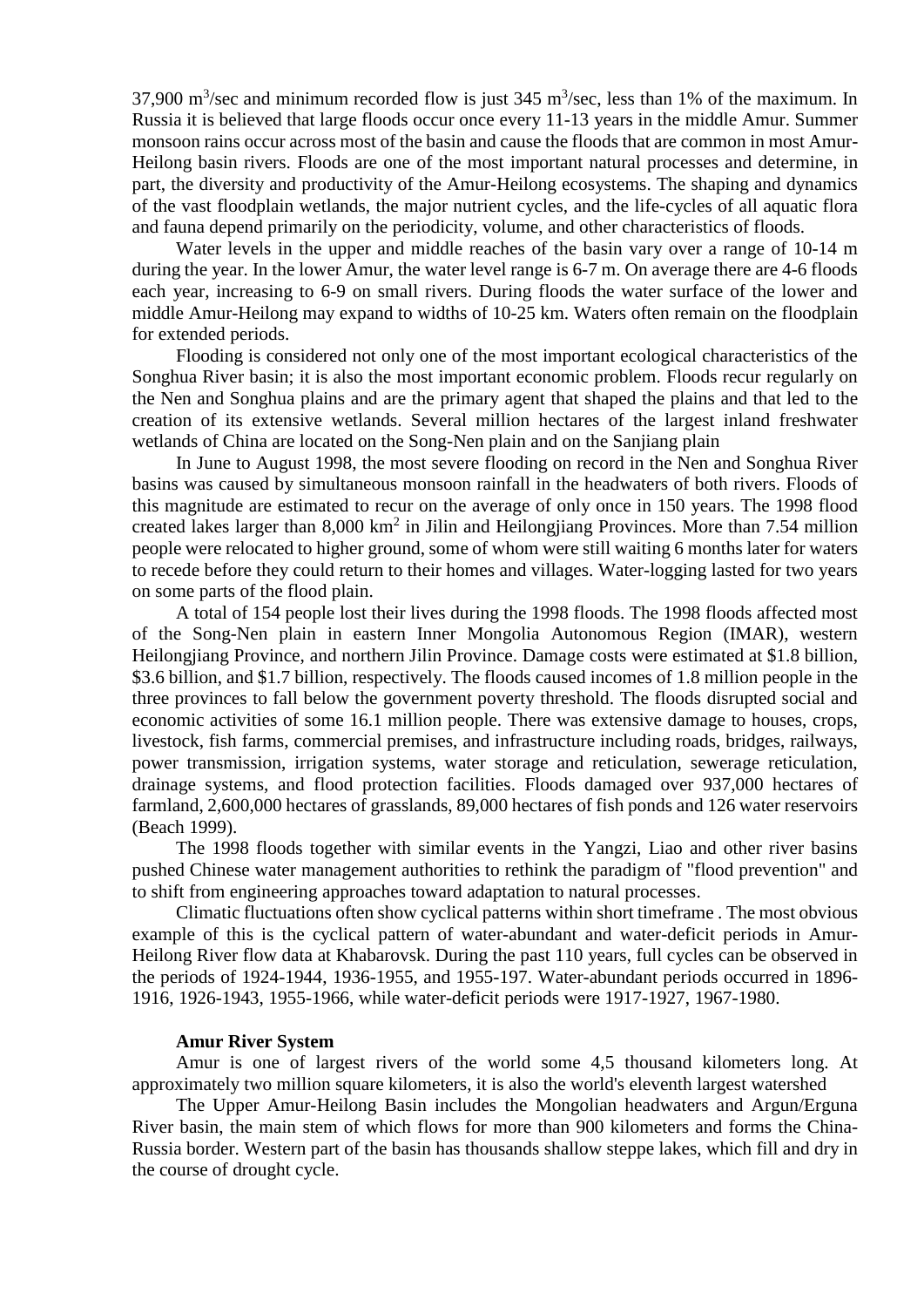37,900 m<sup>3</sup>/sec and minimum recorded flow is just 345 m<sup>3</sup>/sec, less than 1% of the maximum. In Russia it is believed that large floods occur once every 11-13 years in the middle Amur. Summer monsoon rains occur across most of the basin and cause the floods that are common in most Amur-Heilong basin rivers. Floods are one of the most important natural processes and determine, in part, the diversity and productivity of the Amur-Heilong ecosystems. The shaping and dynamics of the vast floodplain wetlands, the major nutrient cycles, and the life-cycles of all aquatic flora and fauna depend primarily on the periodicity, volume, and other characteristics of floods.

Water levels in the upper and middle reaches of the basin vary over a range of 10-14 m during the year. In the lower Amur, the water level range is 6-7 m. On average there are 4-6 floods each year, increasing to 6-9 on small rivers. During floods the water surface of the lower and middle Amur-Heilong may expand to widths of 10-25 km. Waters often remain on the floodplain for extended periods.

Flooding is considered not only one of the most important ecological characteristics of the Songhua River basin; it is also the most important economic problem. Floods recur regularly on the Nen and Songhua plains and are the primary agent that shaped the plains and that led to the creation of its extensive wetlands. Several million hectares of the largest inland freshwater wetlands of China are located on the Song-Nen plain and on the Sanjiang plain

In June to August 1998, the most severe flooding on record in the Nen and Songhua River basins was caused by simultaneous monsoon rainfall in the headwaters of both rivers. Floods of this magnitude are estimated to recur on the average of only once in 150 years. The 1998 flood created lakes larger than  $8,000 \text{ km}^2$  in Jilin and Heilongjiang Provinces. More than 7.54 million people were relocated to higher ground, some of whom were still waiting 6 months later for waters to recede before they could return to their homes and villages. Water-logging lasted for two years on some parts of the flood plain.

A total of 154 people lost their lives during the 1998 floods. The 1998 floods affected most of the Song-Nen plain in eastern Inner Mongolia Autonomous Region (IMAR), western Heilongjiang Province, and northern Jilin Province. Damage costs were estimated at \$1.8 billion, \$3.6 billion, and \$1.7 billion, respectively. The floods caused incomes of 1.8 million people in the three provinces to fall below the government poverty threshold. The floods disrupted social and economic activities of some 16.1 million people. There was extensive damage to houses, crops, livestock, fish farms, commercial premises, and infrastructure including roads, bridges, railways, power transmission, irrigation systems, water storage and reticulation, sewerage reticulation, drainage systems, and flood protection facilities. Floods damaged over 937,000 hectares of farmland, 2,600,000 hectares of grasslands, 89,000 hectares of fish ponds and 126 water reservoirs (Beach 1999).

The 1998 floods together with similar events in the Yangzi, Liao and other river basins pushed Chinese water management authorities to rethink the paradigm of "flood prevention" and to shift from engineering approaches toward adaptation to natural processes.

Climatic fluctuations often show cyclical patterns within short timeframe . The most obvious example of this is the cyclical pattern of water-abundant and water-deficit periods in Amur-Heilong River flow data at Khabarovsk. During the past 110 years, full cycles can be observed in the periods of 1924-1944, 1936-1955, and 1955-197. Water-abundant periods occurred in 1896- 1916, 1926-1943, 1955-1966, while water-deficit periods were 1917-1927, 1967-1980.

#### **Amur River System**

Amur is one of largest rivers of the world some 4,5 thousand kilometers long. At approximately two million square kilometers, it is also the world's eleventh largest watershed

The Upper Amur-Heilong Basin includes the Mongolian headwaters and Argun/Erguna River basin, the main stem of which flows for more than 900 kilometers and forms the China-Russia border. Western part of the basin has thousands shallow steppe lakes, which fill and dry in the course of drought cycle.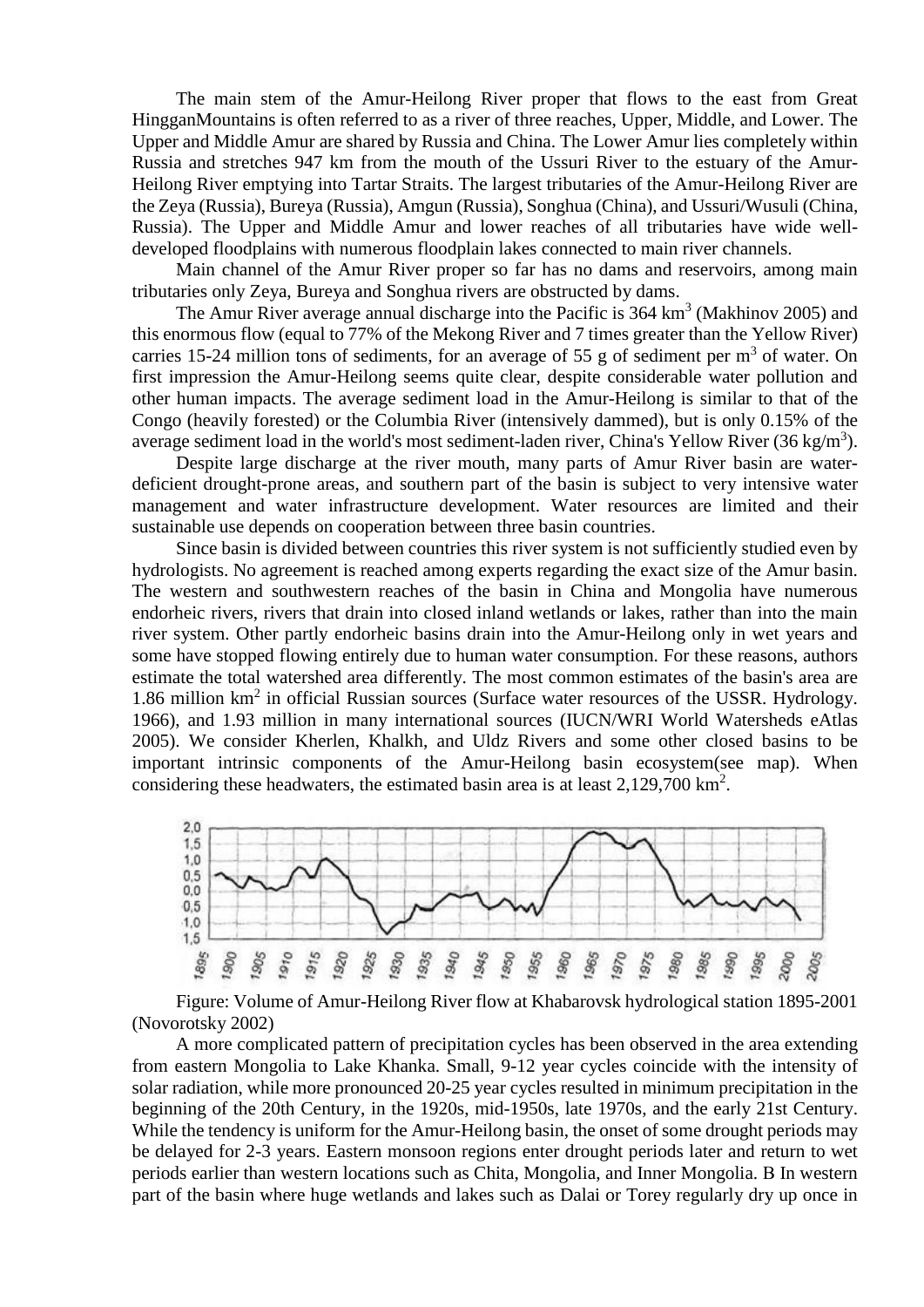The main stem of the Amur-Heilong River proper that flows to the east from Great HingganMountains is often referred to as a river of three reaches, Upper, Middle, and Lower. The Upper and Middle Amur are shared by Russia and China. The Lower Amur lies completely within Russia and stretches 947 km from the mouth of the Ussuri River to the estuary of the Amur-Heilong River emptying into Tartar Straits. The largest tributaries of the Amur-Heilong River are the Zeya (Russia), Bureya (Russia), Amgun (Russia), Songhua (China), and Ussuri/Wusuli (China, Russia). The Upper and Middle Amur and lower reaches of all tributaries have wide welldeveloped floodplains with numerous floodplain lakes connected to main river channels.

Main channel of the Amur River proper so far has no dams and reservoirs, among main tributaries only Zeya, Bureya and Songhua rivers are obstructed by dams.

The Amur River average annual discharge into the Pacific is  $364 \text{ km}^3$  (Makhinov 2005) and this enormous flow (equal to 77% of the Mekong River and 7 times greater than the Yellow River) carries 15-24 million tons of sediments, for an average of 55 g of sediment per  $m<sup>3</sup>$  of water. On first impression the Amur-Heilong seems quite clear, despite considerable water pollution and other human impacts. The average sediment load in the Amur-Heilong is similar to that of the Congo (heavily forested) or the Columbia River (intensively dammed), but is only 0.15% of the average sediment load in the world's most sediment-laden river, China's Yellow River (36 kg/m<sup>3</sup>).

Despite large discharge at the river mouth, many parts of Amur River basin are waterdeficient drought-prone areas, and southern part of the basin is subject to very intensive water management and water infrastructure development. Water resources are limited and their sustainable use depends on cooperation between three basin countries.

Since basin is divided between countries this river system is not sufficiently studied even by hydrologists. No agreement is reached among experts regarding the exact size of the Amur basin. The western and southwestern reaches of the basin in China and Mongolia have numerous endorheic rivers, rivers that drain into closed inland wetlands or lakes, rather than into the main river system. Other partly endorheic basins drain into the Amur-Heilong only in wet years and some have stopped flowing entirely due to human water consumption. For these reasons, authors estimate the total watershed area differently. The most common estimates of the basin's area are 1.86 million km<sup>2</sup> in official Russian sources (Surface water resources of the USSR. Hydrology. 1966), and 1.93 million in many international sources (IUCN/WRI World Watersheds eAtlas 2005). We consider Kherlen, Khalkh, and Uldz Rivers and some other closed basins to be important intrinsic components of the Amur-Heilong basin ecosystem(see map). When considering these headwaters, the estimated basin area is at least 2,129,700 km<sup>2</sup>.



Figure: Volume of Amur-Heilong River flow at Khabarovsk hydrological station 1895-2001 (Novorotsky 2002)

A more complicated pattern of precipitation cycles has been observed in the area extending from eastern Mongolia to Lake Khanka. Small, 9-12 year cycles coincide with the intensity of solar radiation, while more pronounced 20-25 year cycles resulted in minimum precipitation in the beginning of the 20th Century, in the 1920s, mid-1950s, late 1970s, and the early 21st Century. While the tendency is uniform for the Amur-Heilong basin, the onset of some drought periods may be delayed for 2-3 years. Eastern monsoon regions enter drought periods later and return to wet periods earlier than western locations such as Chita, Mongolia, and Inner Mongolia. В In western part of the basin where huge wetlands and lakes such as Dalai or Torey regularly dry up once in